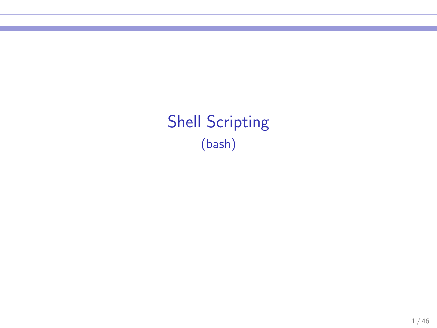Shell Scripting (bash)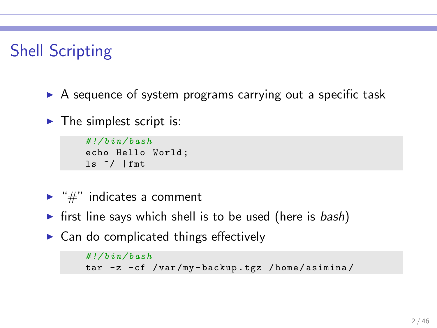# Shell Scripting

- $\triangleright$  A sequence of system programs carrying out a specific task
- $\blacktriangleright$  The simplest script is:

*# !/ bin / bash* echo Hello World ; ls ~/ | fmt

- $\blacktriangleright$  "#" indicates a comment
- $\triangleright$  first line says which shell is to be used (here is bash)
- $\triangleright$  Can do complicated things effectively

```
# !/ bin / bash
tar -z -cf / var /my - backup . tgz / home / asimina /
```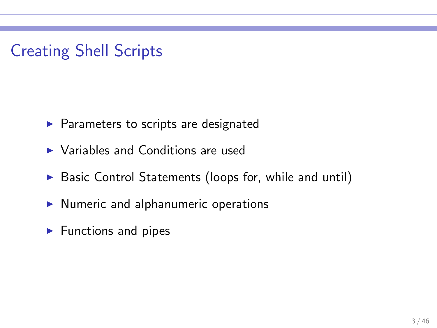# Creating Shell Scripts

- ▶ Parameters to scripts are designated
- ▶ Variables and Conditions are used
- ▶ Basic Control Statements (loops for, while and until)
- ▶ Numeric and alphanumeric operations
- $\blacktriangleright$  Functions and pipes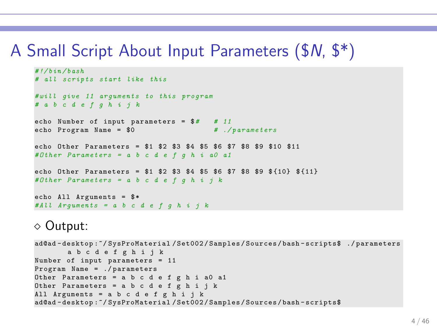# A Small Script About Input Parameters (\$N, \$\*)

```
# !/ bin / bash
# all scripts start like this
# will give 11 arguments to this program
# a b c d e f g h i j k
echo Number of input parameters = $# # 11
echo Program Name = $0
echo Other Parameters = $1 $2 $3 $4 $5 $6 $7 $8 $9 $10 $11
# Other Parameters = a b c d e f g h i a0 a1
echo Other Parameters = $1 $2 $3 $4 $5 $6 $7 $8 $9 $ {10} $ {11}
# Other Parameters = a b c d e f g h i j k
echo All Arguments = *
# All Arguments = a b c d e f g h i j k
```
#### ⋄ Output:

```
ad@ad - desktop :~/ SysProMaterial / Set002 / Samples / Sources / bash - scripts$ ./ parameters
        a b c d e f g h i j k
Number of input parameters = 11
Program Name = ./ parameters
Other Parameters = a b c d e f g h i a0 a1
Other Parameters = a b c d e f g h i j k
All Arguments = a b c d e f g h i j k
ad@ad - desktop :~/ SysProMaterial / Set002 / Samples / Sources / bash - scripts$
```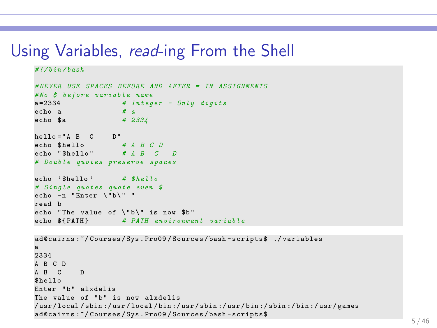### Using Variables, read-ing From the Shell

```
# !/ bin / bash
# NEVER USE SPACES BEFORE AND AFTER = IN ASSIGNMENTS
# No $ before variable name
a =2334 # Integer - Only digits
echo a # a
echo $a # 2334
hello = "A B C D"
echo $hello # A B C D
echo "$hello" # A B C D
# Double quotes preserve spaces
echo ' $hello ' # $hello
# Single quotes quote even $
echo -n "Enter \"b\" "
read b
echo "The value of \"b\" is now $b"
echo ${ PATH } # PATH environment variable
```

```
ad@cairns :~/ Courses / Sys . Pro09 / Sources / bash - scripts$ ./ variables
a
2334
A B C D
A B C D
$hello
Enter "b" alxdelis
The value of "b" is now alxdelis
/ usr / local / sbin :/ usr / local / bin :/ usr / sbin :/ usr / bin :/ sbin :/ bin :/ usr / games
ad@cairns :~/ Courses / Sys . Pro09 / Sources / bash - scripts$
```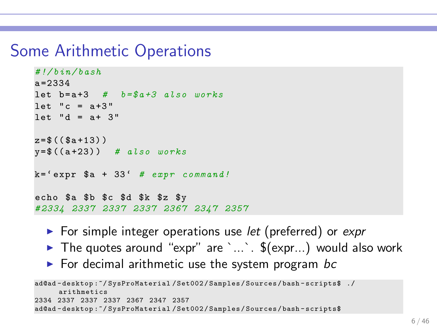# Some Arithmetic Operations

```
# !/ bin / bash
a = 2334let b= a +3 # b = $a +3 also works
let "c = a+3"let "d = a + 3"z = $ ((§a + 13))y=$ (( a +23) ) # also works
k = ' expr a + 33' # expr command!
echo $a $b $c $d $k $z $y
# 2334 2337 2337 2337 2367 2347 2357
```
- $\triangleright$  For simple integer operations use let (preferred) or expr
- $\blacktriangleright$  The quotes around "expr" are `...`.  $\$(expr...)$$  would also work
- $\triangleright$  For decimal arithmetic use the system program bc

```
ad@ad - desktop :~/ SysProMaterial / Set002 / Samples / Sources / bash - scripts$ ./
      arithmetics
2334 2337 2337 2337 2367 2347 2357
ad@ad - desktop :~/ SysProMaterial / Set002 / Samples / Sources / bash - scripts$
```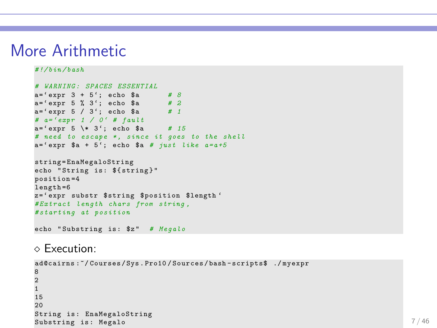# More Arithmetic

#### *# !/ bin / bash*

```
# WARNING : SPACES ESSENTIAL
a =' expr 3 + 5 '; echo $a # 8
a =' expr 5 % 3 '; echo $a # 2
a =' expr 5 / 3 '; echo $a # 1
# a= ' expr 1 / 0 ' # fault
a =' expr 5 \* 3 '; echo $a # 15
# need to escape *, since it goes to the shell
a = ' expr a = +5'; echo a = # just like a = a + 5string = EnaMegaloString
echo "String is: ${string}"
position =4
length =6
z='expr substr $string $position $length'
# Extract length chars from string ,
# starting at position
```

```
echo " Substring is : $z " # Megalo
```
#### ⋄ Execution:

```
ad@cairns :~/ Courses / Sys . Pro10 / Sources / bash - scripts$ ./ myexpr
8
2
1
15
20
String is: EnaMegaloString
Substring is: Megalo 7/46
```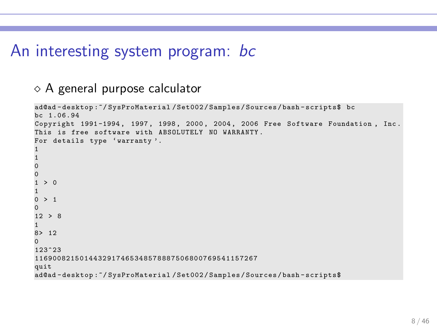# An interesting system program: bc

### $\diamond$  A general purpose calculator

```
ad@ad - desktop :~/ SysProMaterial / Set002 / Samples / Sources / bash - scripts$ bc
bc 1.06.94
Copyright 1991 -1994 , 1997 , 1998 , 2000 , 2004 , 2006 Free Software Foundation , Inc .
This is free software with ABSOLUTELY NO WARRANTY .
For details type 'warranty'.
1
1
0
0
  \geq 01
0 > 1
\Omega12 > 81
8> 12
\Omega123^23
1169008215 0 14 4 32 91 7 46 5 34 8 57 8 88 7 50 6 80 07 6 95 4 11 5 72 6 7
quit
ad@ad - desktop :~/ SysProMaterial / Set002 / Samples / Sources / bash - scripts$
```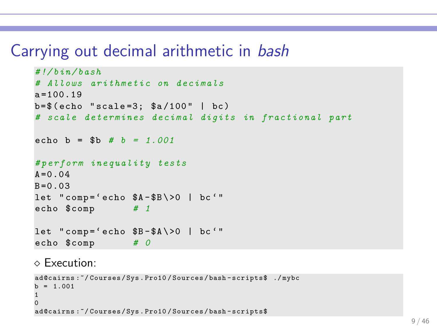# Carrying out decimal arithmetic in bash

```
# !/ bin / bash
# Allows a r i t h m e t i c on d e c i m a l s
a = 100.19b = $ (echo "scale = 3; $a/100" | bc)# scale determines decimal digits in fractional part
echo b = $b # b = 1.001
# p e r f o r m i n e q u a l i t y tests
A = 0.04B = 0.03let "comp='echo $A-$B\>0 | bc "echo $comp # 1
let "comp = 'echo B - $A \ > 0 | bc'"
echo $comp # 0
```
#### ⋄ Execution:

```
ad@cairns :~/ Courses / Sys . Pro10 / Sources / bash - scripts$ ./ mybc
b = 1.0011
0
ad@cairns :~/ Courses / Sys . Pro10 / Sources / bash - scripts$
```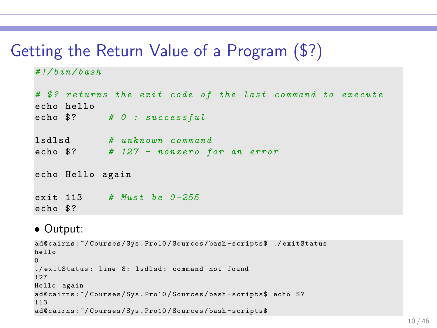# Getting the Return Value of a Program (\$?)

```
# !/ bin / bash
```

```
# $? returns the exit code of the last command to execute
echo hello
echo $? # 0 : successful
lsdlsd # u n k n o w n c o m m a n d
echo $? # 127 - nonzero for an error
echo Hello again
exit 113 # Must be 0 -255
echo $?
```
### • Output:

```
ad@cairns :~/ Courses / Sys . Pro10 / Sources / bash - scripts$ ./ exitStatus
hello
0
./ exitStatus : line 8: lsdlsd : command not found
127
Hello again
ad@cairns:"/Courses/Sys.Pro10/Sources/bash-scripts$ echo $?
113
ad@cairns :~/ Courses / Sys . Pro10 / Sources / bash - scripts$
```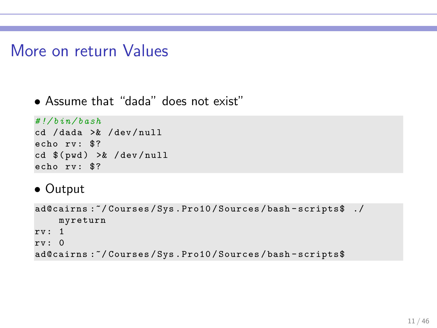# More on return Values

### • Assume that "dada" does not exist"

```
# !/ bin / bash
```
cd / dada >& / dev / null echo rv: \$?  $cd$   $$(pwd) >& /dev/null$ echo rv: \$?

• Output

```
ad@cairns : "/ Courses/Sys. Pro10/ Sources/bash-scripts$ ./
    myreturn
rv : 1
rv : 0
ad@cairns :~/ Courses / Sys . Pro10 / Sources / bash - scripts$
```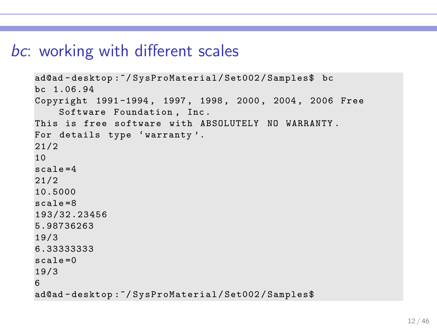# bc: working with different scales

```
ad@ad - desktop :~/ SysProMaterial / Set002 / Samples$ bc
bc 1.06.94
Copyright 1991 -1994 , 1997 , 1998 , 2000 , 2004 , 2006 Free
    Software Foundation , Inc .
This is free software with ABSOLUTELY NO WARRANTY .
For details type 'warranty'.
21/2
10
scale =4
21/2
10.5000
scale =8
193/32.23456
5.98736263
19/3
6.33333333
sca1e=019/3
6
ad@ad - desktop :~/ SysProMaterial / Set002 / Samples$
```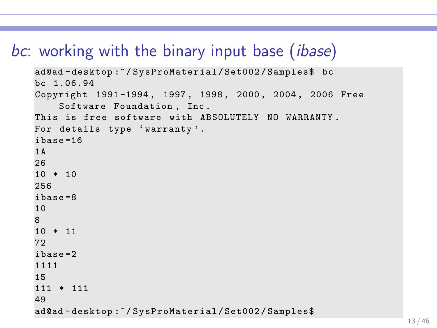# bc: working with the binary input base *(ibase)*

```
ad@ad - desktop :~/ SysProMaterial / Set002 / Samples$ bc
bc 1.06.94
Copyright 1991 -1994 , 1997 , 1998 , 2000 , 2004 , 2006 Free
    Software Foundation , Inc .
This is free software with ABSOLUTELY NO WARRANTY .
For details type 'warranty'.
ibase =16
1A
26
10 * 10256
ibase =8
10
8
10 * 11
72
ibase =2
1111
15
111 * 111
49
ad@ad - desktop :~/ SysProMaterial / Set002 / Samples$
```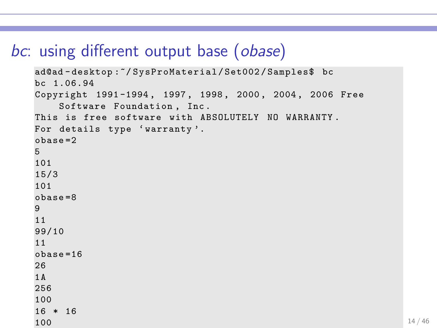# bc: using different output base (obase)

```
ad@ad - desktop :~/ SysProMaterial / Set002 / Samples$ bc
bc 1.06.94
Copyright 1991 -1994 , 1997 , 1998 , 2000 , 2004 , 2006 Free
   Software Foundation , Inc .
This is free software with ABSOLUTELY NO WARRANTY .
For details type 'warranty'.
obase =2
5
101
15/3
101
obase =8
9
11
99/10
11
obase =16
261A
256
100
16 * 16
100 114 / 46
```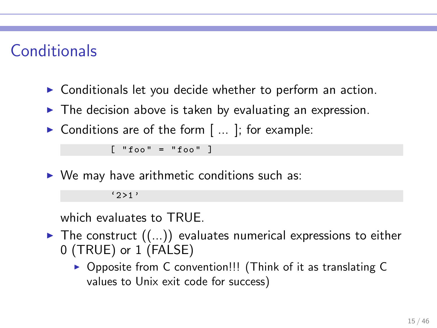# **Conditionals**

- ▶ Conditionals let you decide whether to perform an action.
- $\blacktriangleright$  The decision above is taken by evaluating an expression.
- $\triangleright$  Conditions are of the form  $[$  ... ]; for example:

 $\lceil$  " $f \circ \circ$ " = " $f \circ \circ$ " ]

 $\triangleright$  We may have arithmetic conditions such as:

 $(251)$ 

which evaluates to TRUE.

- $\blacktriangleright$  The construct  $((\ldots))$  evaluates numerical expressions to either 0 (TRUE) or 1 (FALSE)
	- ▶ Opposite from C convention!!! (Think of it as translating C values to Unix exit code for success)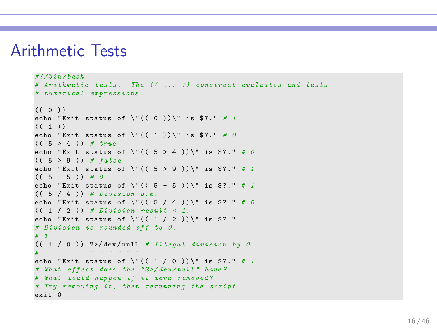### Arithmetic Tests

```
# !/ bin / bash
# Arithmetic tests . The (( ... ) ) construct evaluates and tests
# numerical expressions .
((0)echo "Exit status of \Upsilon" (( 0 )) \" is $?." # 1
((1) )echo "Exit status of \Upsilon" ((1)) \" is $?." # 0
(( 5 > 4 )) # true
echo "Exit status of \Upsilon" (( 5 > 4 )) \" is $?." # 0
(( 5 > 9 )) # false
echo "Exit status of \Upsilon" (( 5 > 9 )) \" is $?." # 1
(( 5 - 5 )) # 0
echo "Exit status of \Upsilon" (( 5 - 5 )) \" is $?." # 1
(( 5 / 4 )) # Division o. k .
echo "Exit status of \Upsilon" ((5 / 4)) \Upsilon is $?." # 0
(( 1 / 2 )) # Division result < 1.
echo "Exit status of \Upsilon ((1/2))\Upsilon is $?."
# Division is rounded off to 0.
# 1
(( 1 / 0 )) 2 >/ dev / null # Illegal division by 0.
# ^^^^^^^^^^^
echo "Exit status of \Upsilon ((1 / 0))\" is $?." # 1
# What effect does the "2 >/ dev / null " have ?
# What would happen if it were removed ?
# Try removing it , then rerunning the script .
exit 0
```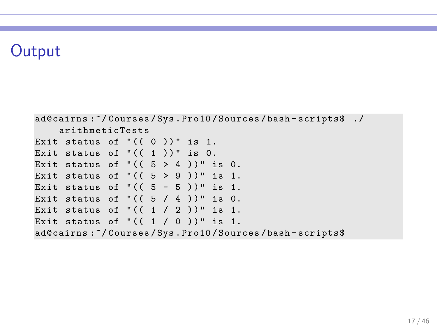# **Output**

```
ad@cairns :~/ Courses / Sys . Pro10 / Sources / bash - scripts$ ./
    arithmeticTests
Exit status of "((0))" is 1.
Exit status of "((1))" is 0.
Exit status of "((5 > 4))" is 0.
Exit status of "((5 > 9))" is 1.
Exit status of " (( 5 - 5 ))" is 1.
Exit status of "((5 / 4))" is 0.
Exit status of "((1 / 2))" is 1.
Exit status of "((1 / 0))" is 1.
ad@cairns :~/ Courses / Sys . Pro10 / Sources / bash - scripts$
```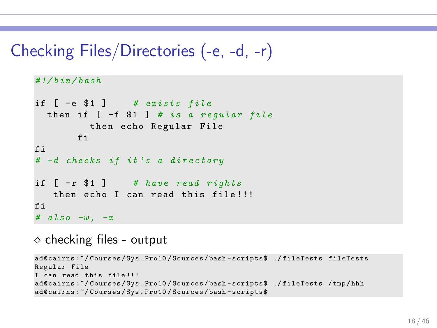# Checking Files/Directories (-e, -d, -r)

```
# !/ bin / bash
if [ -e $1 ] # exists file
  then if [-f 1] # is a regular file
         then echo Regular File
       fi
fi
# -d checks if it ' s a d i r e c t o r y
if [ -r $1 ] # have read rights
   then echo I can read this file !!!
fi
# also -w , -x
```
 $\diamond$  checking files - output

```
ad@cairns :~/ Courses / Sys . Pro10 / Sources / bash - scripts$ ./ fileTests fileTests
Regular File
I can read this file !!!
ad@cairns :~/ Courses / Sys . Pro10 / Sources / bash - scripts$ ./ fileTests / tmp / hhh
ad@cairns :~/ Courses / Sys . Pro10 / Sources / bash - scripts$
```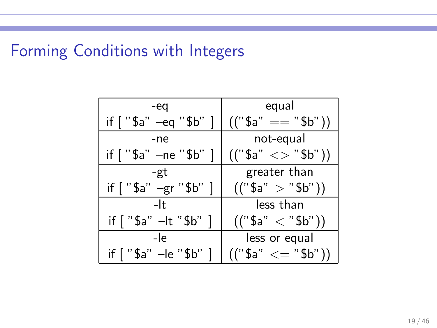# Forming Conditions with Integers

| -eq                      | equal             |
|--------------------------|-------------------|
| if $['\$a'' -eq''\$b'']$ | $(("§a" == "§b")$ |
| -ne                      | not-equal         |
| if [ "\$a" -ne "\$b" ]   | (("§a" < > "§b")  |
| -gt                      | greater than      |
| if [ "\$a" -gr "\$b" ]   | (("§a" > "§b")    |
| -lt                      | less than         |
| if [ "\$a" -lt "\$b" ]   | (("§a" < "§b")    |
| -le                      | less or equal     |
| if [ "\$a" –le "\$b"     | $(("§a" <= "§b")$ |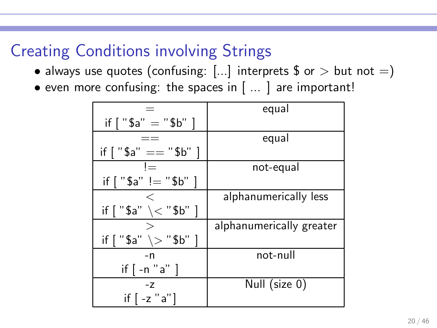# Creating Conditions involving Strings

- always use quotes (confusing:  $[...]$  interprets \$ or > but not =)
- even more confusing: the spaces in [ ... ] are important!

|                                       | equal                    |
|---------------------------------------|--------------------------|
| if $['\$a' = "\$b" ]$                 |                          |
|                                       | equal                    |
| if $\lceil$ "\$a" == "\$b" ]          |                          |
| $l =$                                 | not-equal                |
| if $['\$a''] = "\$b"$                 |                          |
|                                       | alphanumerically less    |
| if $\lceil$ "\$a" \< "\$b" ]          |                          |
|                                       | alphanumerically greater |
| if $\lceil$ "\$a" $\rangle >$ "\$b" ] |                          |
| -n                                    | not-null                 |
| if $\lceil -n "a" \rceil$             |                          |
| $-7$                                  | Null (size 0)            |
| if $[-z$ "a"]                         |                          |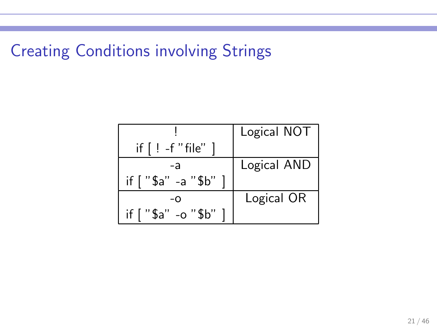Creating Conditions involving Strings

|                    | Logical NOT |
|--------------------|-------------|
| if $[$ ! -f "file" |             |
| -a                 | Logical AND |
| if ["\$a" -a "\$b" |             |
| -റ                 | Logical OR  |
| if ["\$a" -o "\$b" |             |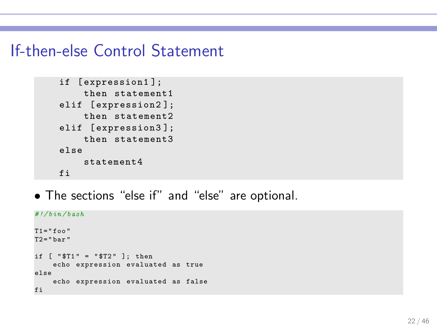# If-then-else Control Statement

```
if [ expression1 ];
    then statement1
elif [expression2];
    then statement2
elif [ expression3 ];
    then statement3
else
    statement4
fi
```
• The sections "else if" and "else" are optional.

```
# !/ bin / bash
T1 = "foo"T2 = "bar"if \lceil "$T1" = "$T2" ]; then
    echo expression evaluated as true
else
    echo expression evaluated as false
fi
```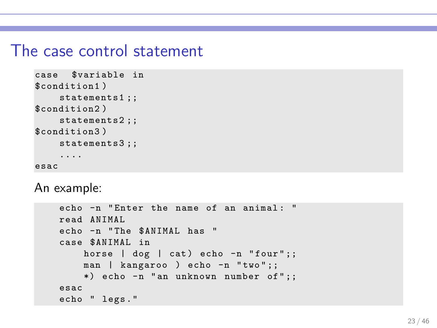### The case control statement

```
case $variable in
$condition1 )
    statements1 ;;
$condition2 )
    statements2;;
$condition3 )
    statements3 ;;
    ....
esac
```
An example:

```
echo -n "Enter the name of an animal: "
read ANIMAL
echo -n " The $ANIMAL has "
case $ANIMAL in
    horse | dog | cat) echo -n "four";;
    man | kangaroo ) echo -n "two";;
    *) echo -n " an unknown number of";;
esac
echo " legs ."
```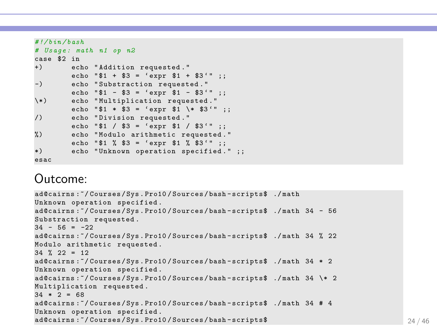```
# !/ bin / bash
# Usage : math n1 op n2
case $2 in
        echo "Addition requested."
        echo "$1 + $3 = 'expr $1 + $3'" ;;
-) echo "Substraction requested."
        echo "$1 - $3 = 'error $1 - $3'" ;;
\*) echo " Multiplication requested ."
        echo "$1 * $3 = 'expr $1 \* $3'" ;;
/) echo " Division requested . "
        echo "$1 / $3 = 'expr $1 / $3'" ;;
%) echo " Modulo arithmetic requested . "
        echo "$1 % $3 = 'expr $1 % $3'" ::
*) echo "Unknown operation specified." ::
esac
```
### Outcome:

```
ad@cairns :~/ Courses / Sys . Pro10 / Sources / bash - scripts$ ./ math
Unknown operation specified .
ad@cairns :~/ Courses / Sys . Pro10 / Sources / bash - scripts$ ./ math 34 - 56
Substraction requested.
34 - 56 = -22ad@cairns :~/ Courses / Sys . Pro10 / Sources / bash - scripts$ ./ math 34 % 22
Modulo arithmetic requested .
34 \t% 22 = 12ad@cairns :~/ Courses / Sys . Pro10 / Sources / bash - scripts$ ./ math 34 * 2
Unknown operation specified .
ad@cairns :~/ Courses / Sys . Pro10 / Sources / bash - scripts$ ./ math 34 \* 2
Multiplication requested .
34 * 2 = 68ad@cairns :~/ Courses / Sys . Pro10 / Sources / bash - scripts$ ./ math 34 # 4
Unknown operation specified .
ad@cairns: "/ Courses/Sys. Pro10/Sources/bash-scripts$ 24/46
```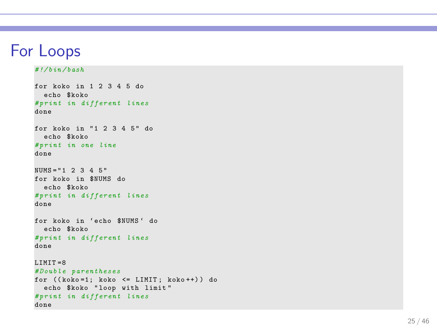# For Loops

*# !/ bin / bash*

```
for koko in 1 2 3 4 5 do
  echo $koko
# print in different lines
done
for koko in "1 2 3 4 5" do
 echo $koko
# print in one line
done
NUMS = "1 2 3 4 5 "
for koko in $NUMS do
 echo $koko
# print in different lines
done
for koko in ' echo $NUMS ' do
 echo $koko
# print in different lines
done
LIMIT = 8# Double parentheses
for ((koko=1; koko \le LIMIT; koko++) ) doecho $koko "loop with limit"
# print in different lines
done
```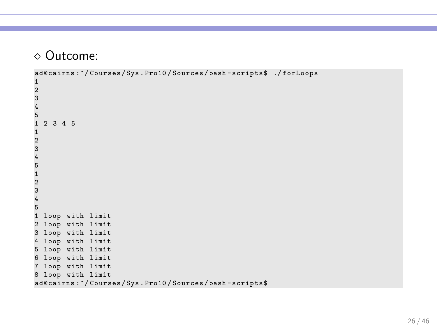```
ad@cairns :~/ Courses / Sys . Pro10 / Sources / bash - scripts$ ./ forLoops
```

```
1
2
3
4
5
  1 2 3 4 5
1
2
3
4
5
1
2
3
4
5
1 loop with limit
2 loop with limit
3 loop with limit
4 loop with limit
5 loop with limit
6 loop with limit
7 loop with limit
8 loop with limit
ad@cairns :~/ Courses / Sys . Pro10 / Sources / bash - scripts$
```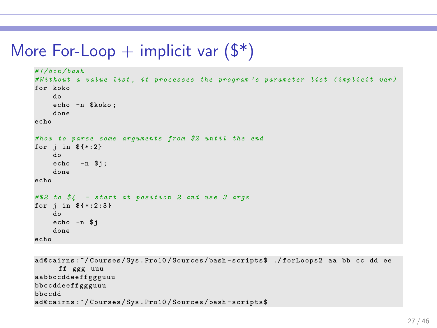# More For-Loop  $+$  implicit var  $(\frac{2}{3})$

```
# !/ bin / bash
# Without a value list , it processes the program ' s parameter list ( implicit var )
for koko
    do
    echo -n $koko ;
    done
echo
# how to parse some arguments from $2 until the end
for j in f:2}
    do
    echo -n $i :
    done
echo
# $2 to $4 - start at position 2 and use 3 args
for i in f*:2:3}
    do
    echo -n $j
    done
echo
```

```
ad@cairns :~/ Courses / Sys . Pro10 / Sources / bash - scripts$ ./ forLoops2 aa bb cc dd ee
     ff ggg uuu
aabbccddeeffggguuu
bbccddeeffggguuu
bbccdd
ad@cairns :~/ Courses / Sys . Pro10 / Sources / bash - scripts$
```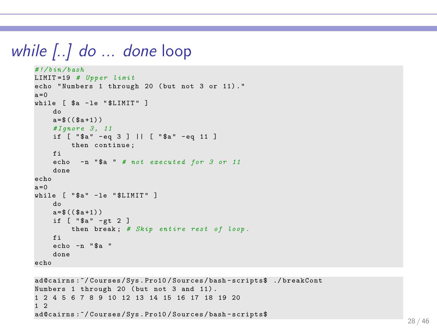# while [..] do ... done loop

```
# !/ bin / bash
LIMIT =19 # Upper limit
echo " Numbers 1 through 20 ( but not 3 or 11) . "
a = 0while [ $a -le "$LIMIT" ]
    do
    a = $ (( $a + 1) )# Ignore 3 , 11
    if [ "$a" -eq 3 ] || [ "$a" -eq 11 ]
        then continue ;
    f_iecho -n " $a " # not executed for 3 or 11
    done
echo
a = 0while [ "$a" -le "$LIMIT" ]
    do
    a = $ ((\$a + 1))if \lceil "$a" -gt 2 ]
         then break ; # Skip entire rest of loop .
    fi
    echo -n " $a "
    done
echo
```

```
ad@cairns :~/ Courses / Sys . Pro10 / Sources / bash - scripts$ ./ breakCont
Numbers 1 through 20 (but not 3 and 11).
1 2 4 5 6 7 8 9 10 12 13 14 15 16 17 18 19 20
1<sub>2</sub>ad@cairns :~/ Courses / Sys . Pro10 / Sources / bash - scripts$
```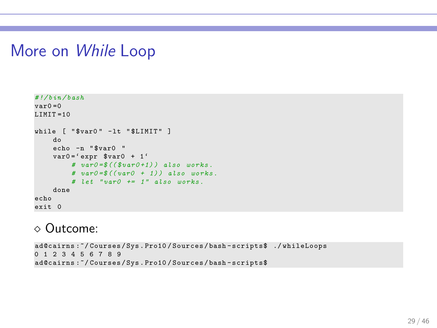# More on While Loop

```
# !/ bin / bash
var0 = 0I.IMTT = 10while [ "$var0" -1t "$LIMIT" ]
    do
    echo -n " $var0 "
    var0 = 'expr $var0 + 1'
         # var0 =$(( $var0 +1) ) also works .
         # var0 =$(( var0 + 1) ) also works .
         # let " var0 += 1" also works .
    done
echo
exit 0
```

```
ad@cairns :~/ Courses / Sys . Pro10 / Sources / bash - scripts$ ./ whileLoops
0 1 2 3 4 5 6 7 8 9
ad@cairns :~/ Courses / Sys . Pro10 / Sources / bash - scripts$
```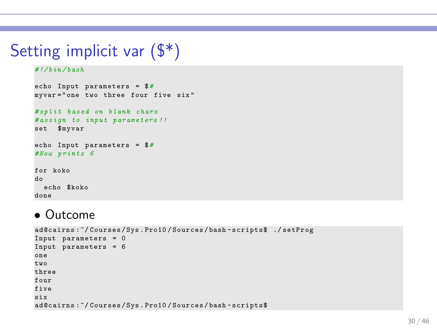# Setting implicit var (\$\*)

#### *# !/ bin / bash*

```
echo Input parameters = $#
myvar =" one two three four five six "
# split based on blank chars
# assign to input parameters !!
set $myvar
echo Input parameters = $#
# Now prints 6
for koko
do
 echo $koko
done
```
### • Outcome

```
ad@cairns :~/ Courses / Sys . Pro10 / Sources / bash - scripts$ ./ setProg
Input parameters = 0
Input parameters = 6
one
two
three
four
five
six
ad@cairns :~/ Courses / Sys . Pro10 / Sources / bash - scripts$
```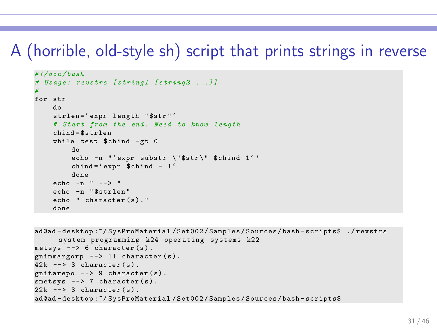# A (horrible, old-style sh) script that prints strings in reverse

```
# !/ bin / bash
# Usage : revstrs [ string1 [ string2 ...]]
#
for str
    do
    strlen='expr length "$str"'
    # Start from the end . Need to know length
    chind = $strlen
    while test $chind -gt 0
        do
        echo -n "'expr substr \"$str\" $chind 1'"
        chind =' expr $chind - 1'
        done
    echo -n " \rightarrow "
    echo -n " $strlen "
    echo " character (s)."
    done
```

```
ad@ad - desktop :~/ SysProMaterial / Set002 / Samples / Sources / bash - scripts$ ./ revstrs
      system programming k24 operating systems k22
metsys --> 6 character (s).
gnimmargorp \rightarrow 11 character (s).
42k --> 3 character (s).
entarepo --> 9 character (s).
smetsys --> 7 character (s).
22k --> 3 character (s).
ad@ad - desktop :~/ SysProMaterial / Set002 / Samples / Sources / bash - scripts$
```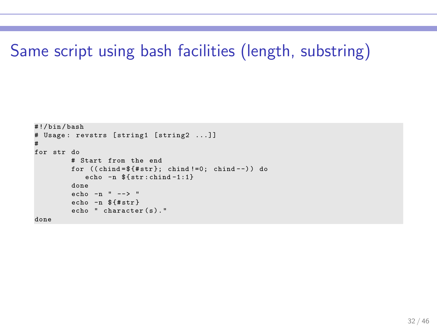# Same script using bash facilities (length, substring)

```
# !/ bin / bash
# Usage: revstrs [string1 [string2 ...]]
#
for str do
         # Start from the end
         for ((\text{chind} = $f# \text{str}: \text{chind} != 0; \text{chind} --)) do
             echo -n fstr:child-1:1}
          done
         echo -n " --> "
         echo -n $ {# str }
         echo " character (s)."
done
```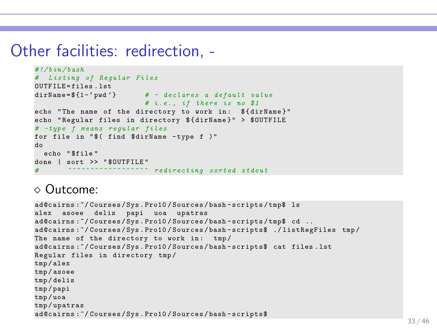### Other facilities: redirection, -

```
# !/ bin / bash
# Listing of Regular Files
OUTFILE=files.lst<br>dirName=$f1-'pwd'}
                      dirName = $ {1 - ' pwd '} # - declares a default value
                          # i .e . , if there is no $1
echo "The name of the directory to work in: $ { dirName }"
echo "Regular files in directory $ { dirName }" > $OUTFILE
# -type f means regular files
for file in "$( find $dirName -type f )"
do
 echo " $file "
done | sort >> "$OUTFILE"
```

```
ad@cairns :~/ Courses / Sys . Pro10 / Sources / bash - scripts /tmp$ ls
alex asoee delis papi uoa upatras
ad@cairns:"/Courses/Sys.Pro10/Sources/bash-scripts/tmp$ cd ..
ad@cairns :~/ Courses / Sys . Pro10 / Sources / bash - scripts$ ./ listRegFiles tmp /
The name of the directory to work in: tmp/
ad@cairns :~/ Courses / Sys . Pro10 / Sources / bash - scripts$ cat files . lst
Regular files in directory tmp /
tmp / alex
tmp / asoee
tmp / delis
tmp / papi
tmp / uoa
tmp / upatras
ad@cairns :~/ Courses / Sys . Pro10 / Sources / bash - scripts$
```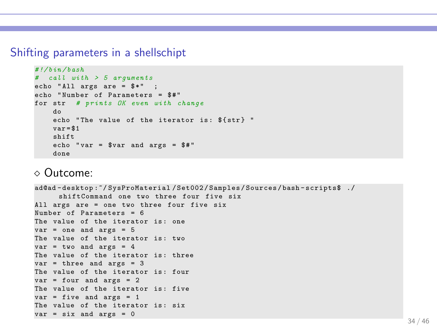#### Shifting parameters in a shellschipt

```
# !/ bin / bash
# call with > 5 arguments
echo "All args are = $*" ;
echo "Number of Parameters = $#"
for str # prints OK even with change
    do
    echo "The value of the iterator is: $ { str } "
    var = $1shift
    echo " var = var and ares = $#"
    done
```

```
ad@ad - desktop :~/ SysProMaterial / Set002 / Samples / Sources / bash - scripts$ ./
     shiftCommand one two three four five six
All args are = one two three four five six
Number of Parameters = 6
The value of the iterator is: one
var = one and ares = 5The value of the iterator is: two
var = two and args = 4The value of the iterator is: three
var = three and args = 3
The value of the iterator is: four
var = four and ares = 2The value of the iterator is: five
var = five and arcs = 1The value of the iterator is: six
var = six and ares = 0
```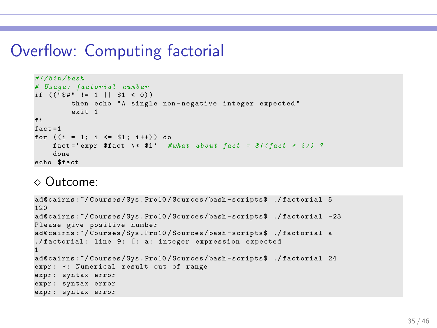# Overflow: Computing factorial

```
# !/ bin / bash
# Usage : factorial number
if (("\ \#"\ != 1 || \1 < 0))
        then echo "A single non-negative integer expected"
        evit - 1fi
fact =1
for ((i = 1; i \leq 1; i++) do
    fact =' expr $fact \* $i ' # what about fact = $(( fact * i ) ) ?
    done
echo $fact
```

```
ad@cairns :~/ Courses / Sys . Pro10 / Sources / bash - scripts$ ./ factorial 5
120
ad@cairns :~/ Courses / Sys . Pro10 / Sources / bash - scripts$ ./ factorial -23
Please give positive number
ad@cairns :~/ Courses / Sys . Pro10 / Sources / bash - scripts$ ./ factorial a
./factorial: line 9: [: a: integer expression expected
1
ad@cairns :~/ Courses / Sys . Pro10 / Sources / bash - scripts$ ./ factorial 24
expr: *: Numerical result out of range
expr : syntax error
expr : syntax error
expr : syntax error
```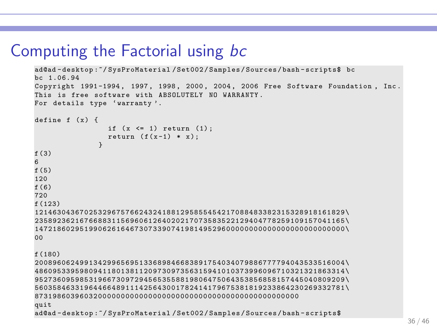# Computing the Factorial using bc

```
ad@ad - desktop :~/ SysProMaterial / Set002 / Samples / Sources / bash - scripts$ bc
bc 1.06.94
Copyright 1991 -1994 , 1997 , 1998 , 2000 , 2004 , 2006 Free Software Foundation , Inc .
This is free software with ABSOLUTELY NO WARRANTY .
For details type 'warranty'.
define f(x) {
                      if (x \leq 1) return (1);
                      return (f(x-1) * x):
                    }
f (3)
6
f(5)120
f (6)
720
f (123)
121463043 67 0 25 3 29 6 75 7 66 2 43 2 4 18 8 12 9 58 5 54 5 42 1 70 8 84 8 338 2 31 5 32 8 91 8 16 1 82 9 \
235892362 16 7 66 8 83 1 15 6 96 0 61 2 6 40 2 02 1 70 7 35 8 35 2 21 2 94 0 477 8 25 9 10 9 15 7 04 1 16 5 \
147218602 95 1 99 0 62 6 16 4 67 3 07 3 3 90 7 41 9 81 4 95 2 96 0 00 0 00 0 000 0 00 0 00 0 00 0 00 0 00 0 \
00
f (180)
200896062 49 9 13 4 29 9 65 6 95 1 33 6 8 98 4 66 8 38 9 17 5 40 3 40 7 98 8 677 7 79 4 04 3 53 3 51 6 00 4 \
486095339 59 8 09 4 11 8 01 3 81 1 20 9 7 30 9 73 5 63 1 59 4 10 1 03 7 39 9 609 6 71 0 32 1 32 1 86 3 31 4 \
952736095 98 5 31 9 66 7 30 9 72 9 45 6 5 35 5 88 1 98 0 64 7 50 6 43 5 38 5 685 8 15 7 44 5 04 0 80 9 20 9 \
560358463 31 9 64 4 66 4 89 1 11 4 25 6 4 30 0 17 8 24 1 41 7 96 7 53 8 18 1 923 3 86 4 23 0 26 9 33 2 78 1 \
8731986039 6 03 2 00 0 00 0 00 0 00 0 00 0 00 0 00 0 00 0 00 0 00 0 00 0 00 0 00 0 00 0 00
quit
ad@ad - desktop :~/ SysProMaterial / Set002 / Samples / Sources / bash - scripts$
```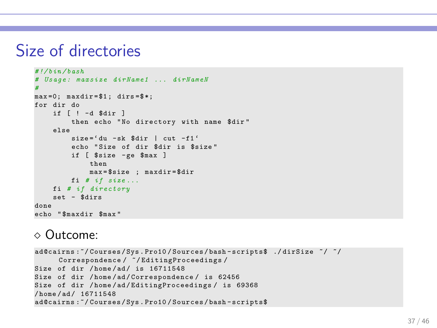# Size of directories

```
# !/ bin / bash
# Usage : maxsize dirName1 ... dirNameN
#
max = 0; maxdir = $1; dirs = $;
for dir do
    if [ ! -d $dir ]
        then echo "No directory with name $dir"
    else
        size='du -sk $dir | cut -f1'
        echo " Size of dir $dir is $size "
        if [ $size - ge $max ]
             then
             max = $size ; maxdir = $dir
        fi # if size ...
    fi # if directory
    set - $dirs
done
echo " $maxdir $max "
```

```
ad@cairns :~/ Courses / Sys . Pro10 / Sources / bash - scripts$ ./ dirSize ~/ ~/
      Correspondence / ~/ EditingProceedings /
Size of dir / home/ad/ is 16711548
Size of dir / home / ad / Correspondence / is 62456
Size of dir / home/ad/EditingProceedings/ is 69368
/ home / ad / 16711548
ad@cairns :~/ Courses / Sys . Pro10 / Sources / bash - scripts$
```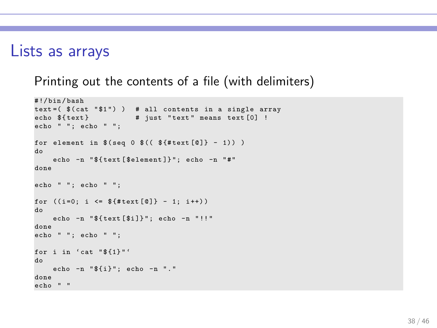### Lists as arrays

Printing out the contents of a file (with delimiters)

```
# !/ bin / bash
text=( $(cat " $1") ) # all contents in a single array<br>echo ${text}# just "text" means text [0] !
echo " "; echo " ":
for element in $(seq 0 $(( $ {# text [0]} - 1)) )do
     echo -n " ${ text [ $element ]} "; echo -n " #"
done
echo " ": echo " ":
for ((i=0; i \leq \frac{1}{2} + i)(i=0); i (i=0; i \leq \frac{1}{2} + i)do
    echo -n "ftext{(xi)}": echo -n "!!"
done
echo " "; echo " ";
for i in 'cat \sqrt[1]{\{1\}}"
do
    echo -n "${i}"; echo -n "."
done
echo " "
```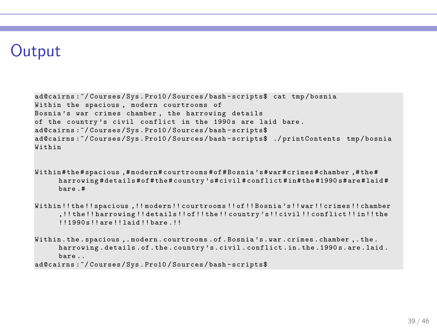# **Output**

```
ad@cairns :~/ Courses / Sys . Pro10 / Sources / bash - scripts$ cat tmp / bosnia
Within the spacious , modern courtrooms of
Bosnia's war crimes chamber, the harrowing details
of the country's civil conflict in the 1990s are laid bare.
ad@cairns :~/ Courses / Sys . Pro10 / Sources / bash - scripts$
ad@cairns :~/ Courses / Sys . Pro10 / Sources / bash - scripts$ ./ printContents tmp / bosnia
Within
```
Within # the # spacious ,# modern # courtrooms # of # Bosnia 's #war # crimes # chamber ,# the # harrowing # details # of # the # country 's # civil # conflict # in # the #1990 s # are # laid # bare .#

Within !! the !! spacious ,!! modern !! courtrooms !! of !! Bosnia 's !! war !! crimes !! chamber ,!! the !! harrowing !! details !! of !! the !! country 's !! civil !! conflict !! in !! the !!1990 s !! are !! laid !! bare .!!

Within . the . spacious ,. modern . courtrooms . of . Bosnia 's .war . crimes . chamber ,. the . harrowing . details . of . the . country 's . civil . conflict . in . the .1990 s . are . laid . bare ..

ad@cairns :~/ Courses / Sys . Pro10 / Sources / bash - scripts\$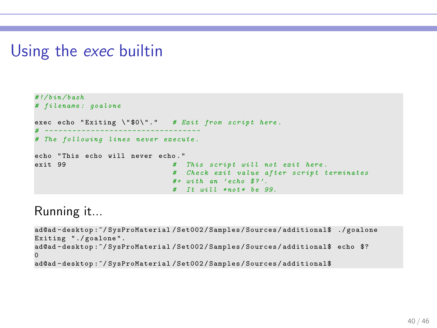# Using the exec builtin

```
# !/ bin / bash
# filename : goalone
exec echo "Exiting \"$0\"." # Exit from script here.
# - - - - - - - - - - - - - - - - - -- - -- - -- - -- - - -- - -
# The following lines never execute .
echo "This echo will never echo."
exit 99 # This script will not exit here .
                               # Check exit value after script terminates
                               # + with an ' echo $? '.
                               # It will * not * be 99.
```
Running it...

```
ad@ad - desktop :~/ SysProMaterial / Set002 / Samples / Sources / additional$ ./ goalone
Exiting "./goalone".
ad@ad-desktop:"/SysProMaterial/Set002/Samples/Sources/additional$ echo $?
\Omegaad@ad - desktop :~/ SysProMaterial / Set002 / Samples / Sources / additional$
```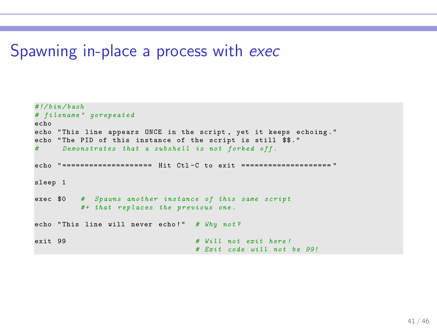### Spawning in-place a process with exec

```
# !/ bin / bash
# filename " gorepeated
echo
echo "This line appears ONCE in the script, yet it keeps echoing."
echo "The PID of this instance of the script is still $$."
     # Demonstrates that a subshell is not forked off .
echo "=================== Hit Ctl-C to exit ======================
sleep 1
exec $0 # Spawns another instance of this same script
         # + that replaces the previous one .
echo "This line will never echo!" # Why not?
exit 99 # Will not exit here !
                                  # Exit code will not be 99!
```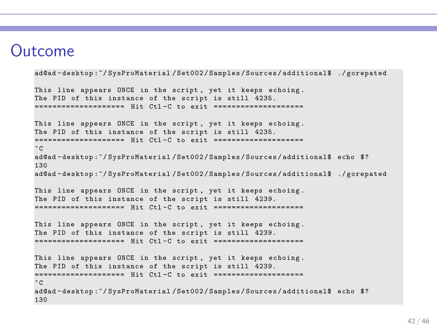# Outcome

130

```
ad@ad - desktop :~/ SysProMaterial / Set002 / Samples / Sources / additional$ ./ gorepated
This line appears ONCE in the script, yet it keeps echoing.
The PID of this instance of the script is still 4235.
============= == == == = Hit Ctl - C to exit ============== == == ==
This line appears ONCE in the script, yet it keeps echoing.
The PID of this instance of the script is still 4235.
===================== Hit Ctl-C to exit ====================
\hat{C}ad@ad - desktop :~/ SysProMaterial / Set002 / Samples / Sources / additional$ echo $?
130
ad@ad - desktop :~/ SysProMaterial / Set002 / Samples / Sources / additional$ ./ gorepated
This line appears ONCE in the script , yet it keeps echoing .
The PID of this instance of the script is still 4239.
============= == == == = Hit Ctl - C to exit ============== == == ==
This line appears ONCE in the script , yet it keeps echoing .
The PID of this instance of the script is still 4239.
============= == == == = Hit Ctl - C to exit ============== == == ==
This line appears ONCE in the script, yet it keeps echoing.
The PID of this instance of the script is still 4239.
==================== Hit Ctl-C to exit ===================
\hat{C}ad@ad-desktop:"/SysProMaterial/Set002/Samples/Sources/additional$ echo $?
```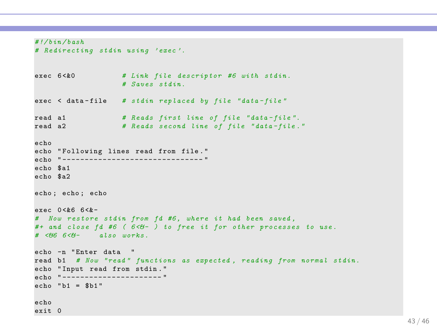```
# !/ bin / bash
# Redirecting stdin using ' exec '.
exec 6 <&0 # Link file descriptor #6 with stdin .
                    # Saves stdin .
exec < data - file # stdin replaced by file " data - file "
read a1 # Reads first line of file " data - file ".
                   # Reads second line of file "data-file."
echo
echo "Following lines read from file."
echo " ---------- -- - -- - -- - -- - -- - -- - -- - "
echo $a1
echo $a2
echo ; echo ; echo
e^{qx}e^{qx} 0 < k \leq 6 < k -# Now restore stdin from fd #6 , where it had been saved ,
# + and close fd #6 ( 6 <& - ) to free it for other processes to use .
# <&6 6 <& - also works .
echo -n " Enter data "
read b1 # Now " read " functions as expected , reading from normal stdin .
echo " Input read from stdin . "
echo "----------------------- "
echo "b1 = $b1"
echo
exit 0
```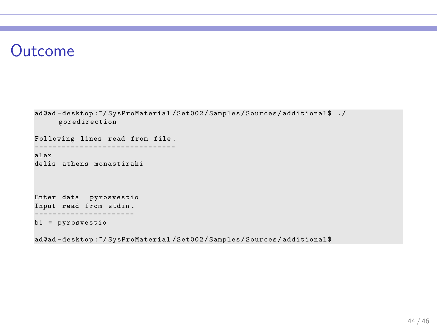# Outcome

```
ad@ad-desktop:"/SysProMaterial/Set002/Samples/Sources/additional$ ./
     goredirection
Following lines read from file .
------------------------------
alex
delis athens monastiraki
Enter data pyrosvestio
Input read from stdin .
                  - - - - - -b1 = pyrosvestio
```
ad@ad - desktop :~/ SysProMaterial / Set002 / Samples / Sources / additional\$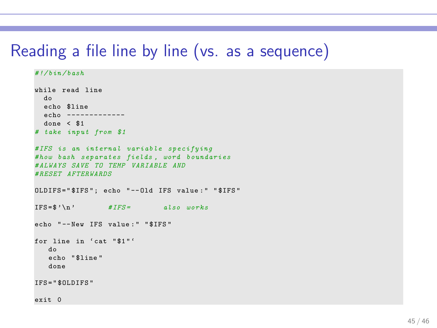# Reading a file line by line (vs. as a sequence)

```
# !/ bin / bash
while read line
  do
 echo $line
 echo -------------
 done < $1
# take input from $1
# IFS is an internal variable specifying
# how bash separates fields , word boundaries
# ALWAYS SAVE TO TEMP VARIABLE AND
# RESET AFTERWARDS
OLDIFS = " $IFS " ; echo " -- Old IFS value : " " $IFS "
IFS =$ '\n ' # IFS = also works
echo "--New IFS value:" "$IFS"
for line in 'cat "$1"'
   do
   echo " $line "
   done
IFS = " $OLDIFS "
exit 0
```